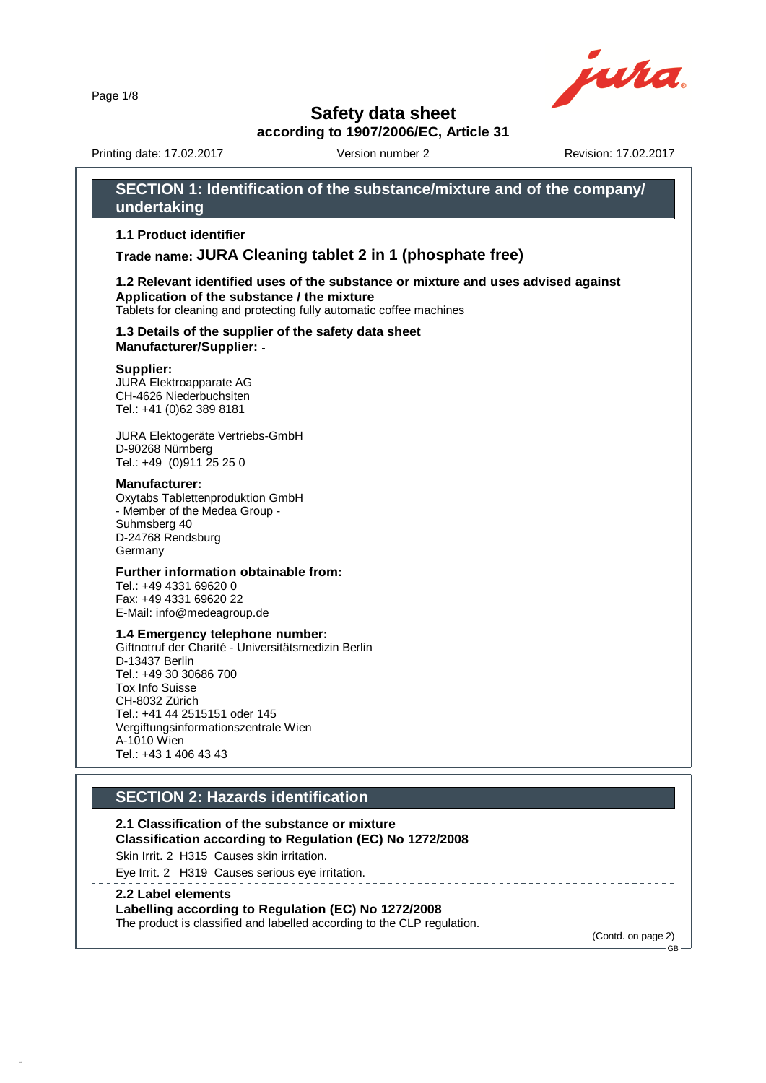Page 1/8

44.0



## **Safety data sheet**

**according to 1907/2006/EC, Article 31**

Printing date: 17.02.2017 **Version number 2** Revision: 17.02.2017

**SECTION 1: Identification of the substance/mixture and of the company/**

### **undertaking 1.1 Product identifier Trade name: JURA Cleaning tablet 2 in 1 (phosphate free) 1.2 Relevant identified uses of the substance or mixture and uses advised against Application of the substance / the mixture** Tablets for cleaning and protecting fully automatic coffee machines **1.3 Details of the supplier of the safety data sheet Manufacturer/Supplier:** - **Supplier:** JURA Elektroapparate AG CH-4626 Niederbuchsiten Tel.: +41 (0)62 389 8181 JURA Elektogeräte Vertriebs-GmbH D-90268 Nürnberg Tel.: +49 (0)911 25 25 0 **Manufacturer:** Oxytabs Tablettenproduktion GmbH - Member of the Medea Group - Suhmsberg 40 D-24768 Rendsburg Germany **Further information obtainable from:** Tel.: +49 4331 69620 0 Fax: +49 4331 69620 22 E-Mail: info@medeagroup.de **1.4 Emergency telephone number:** Giftnotruf der Charité - Universitätsmedizin Berlin D-13437 Berlin Tel.: +49 30 30686 700 Tox Info Suisse CH-8032 Zürich Tel.: +41 44 2515151 oder 145 Vergiftungsinformationszentrale Wien A-1010 Wien Tel.: +43 1 406 43 43 **SECTION 2: Hazards identification 2.1 Classification of the substance or mixture Classification according to Regulation (EC) No 1272/2008** Skin Irrit. 2 H315 Causes skin irritation. Eye Irrit. 2 H319 Causes serious eye irritation. \_\_\_\_\_\_\_\_\_\_\_\_\_\_\_\_\_\_\_\_\_\_\_\_\_\_ **2.2 Label elements Labelling according to Regulation (EC) No 1272/2008** The product is classified and labelled according to the CLP regulation. (Contd. on page 2)  $-GR$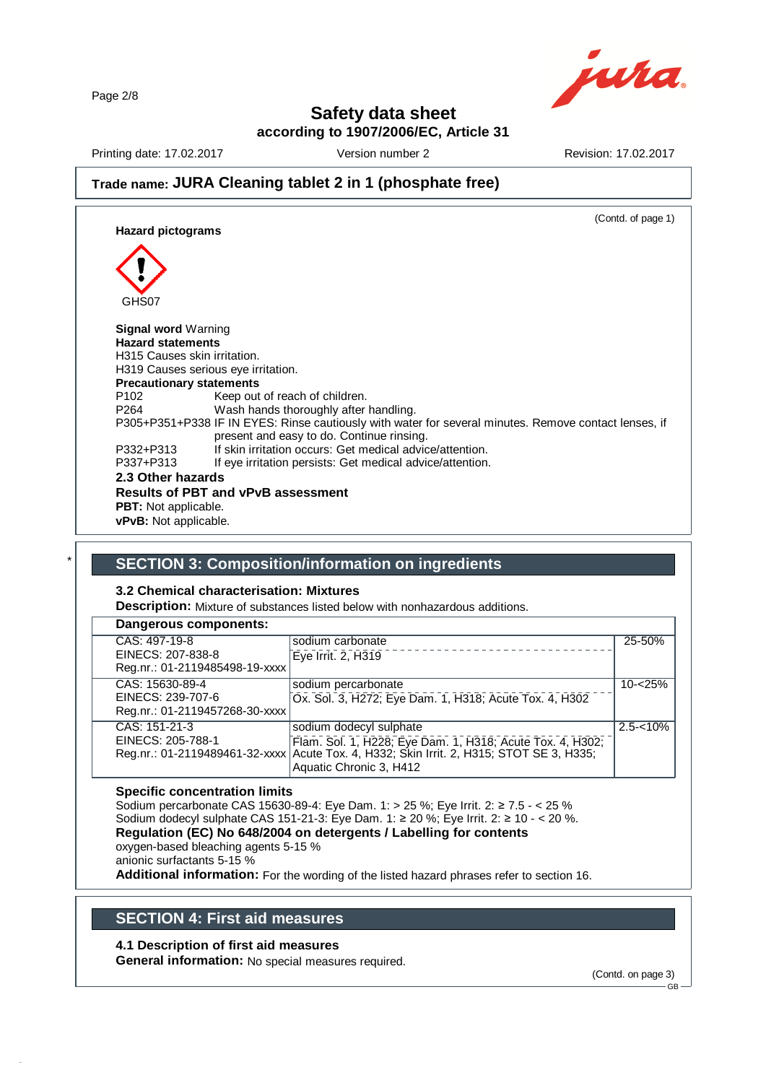Page 2/8



## **Safety data sheet**

**according to 1907/2006/EC, Article 31**

Printing date: 17.02.2017 Version number 2 Revision: 17.02.2017

## **Trade name: JURA Cleaning tablet 2 in 1 (phosphate free)**

(Contd. of page 1) **Hazard pictograms** GHS07 **Signal word** Warning **Hazard statements** H315 Causes skin irritation. H319 Causes serious eye irritation. **Precautionary statements** P102 Keep out of reach of children.<br>P264 Wash hands thoroughly after Wash hands thoroughly after handling. P305+P351+P338 IF IN EYES: Rinse cautiously with water for several minutes. Remove contact lenses, if present and easy to do. Continue rinsing. P332+P313 If skin irritation occurs: Get medical advice/attention.<br>P337+P313 If eve irritation persists: Get medical advice/attention. If eye irritation persists: Get medical advice/attention. **2.3 Other hazards Results of PBT and vPvB assessment PBT:** Not applicable. **vPvB:** Not applicable.

## \* **SECTION 3: Composition/information on ingredients**

#### **3.2 Chemical characterisation: Mixtures**

**Description:** Mixture of substances listed below with nonhazardous additions.

#### **Dangerous components:** CAS: 497-19-8 EINECS: 207-838-8 Reg.nr.: 01-2119485498-19-xxxx sodium carbonate Eye Irrit. 2, H319 25-50% CAS: 15630-89-4 EINECS: 239-707-6 Reg.nr.: 01-2119457268-30-xxxx sodium percarbonate Ox. Sol. 3, H272; Eye Dam. 1, H318; Acute Tox. 4, H302 10-<25% CAS: 151-21-3 EINECS: 205-788-1 Reg.nr.: 01-2119489461-32-xxxx sodium dodecyl sulphate Flam. Sol. 1, H228; Eye Dam. 1, H318; Acute Tox. 4, H302; Acute Tox. 4, H332; Skin Irrit. 2, H315; STOT SE 3, H335; Aquatic Chronic 3, H412  $2.5 - 10\%$

#### **Specific concentration limits**

Sodium percarbonate CAS 15630-89-4: Eye Dam. 1: > 25 %; Eye Irrit. 2: ≥ 7.5 - < 25 % Sodium dodecyl sulphate CAS 151-21-3: Eye Dam. 1: ≥ 20 %; Eye Irrit. 2: ≥ 10 - < 20 %. **Regulation (EC) No 648/2004 on detergents / Labelling for contents** oxygen-based bleaching agents 5-15 %

anionic surfactants 5-15 %

44.0

**Additional information:** For the wording of the listed hazard phrases refer to section 16.

## **SECTION 4: First aid measures**

### **4.1 Description of first aid measures**

**General information:** No special measures required.

(Contd. on page 3)

GB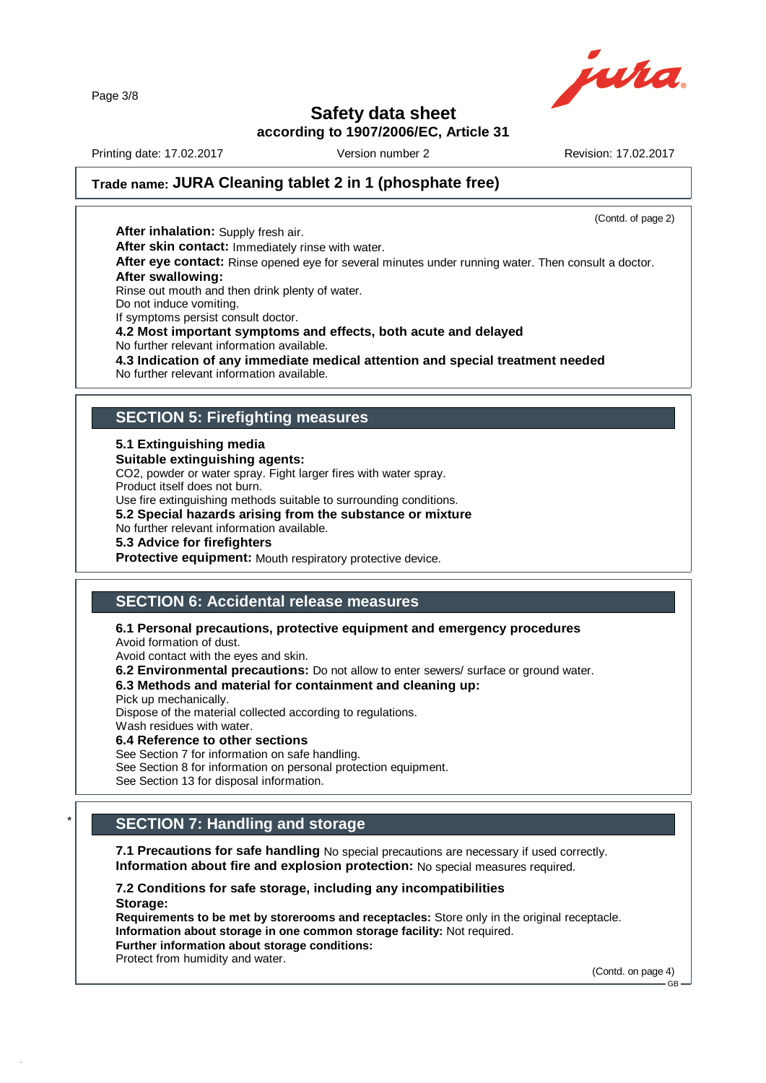Page 3/8



## **Safety data sheet**

**according to 1907/2006/EC, Article 31**

Printing date: 17.02.2017 **Version number 2** Revision: 17.02.2017

(Contd. of page 2)

## **Trade name: JURA Cleaning tablet 2 in 1 (phosphate free)**

**After inhalation:** Supply fresh air. **After skin contact:** Immediately rinse with water. **After eye contact:** Rinse opened eye for several minutes under running water. Then consult a doctor. **After swallowing:** Rinse out mouth and then drink plenty of water. Do not induce vomiting. If symptoms persist consult doctor. **4.2 Most important symptoms and effects, both acute and delayed** No further relevant information available. **4.3 Indication of any immediate medical attention and special treatment needed** No further relevant information available.

## **SECTION 5: Firefighting measures**

#### **5.1 Extinguishing media**

#### **Suitable extinguishing agents:**

CO2, powder or water spray. Fight larger fires with water spray. Product itself does not burn.

Use fire extinguishing methods suitable to surrounding conditions.

**5.2 Special hazards arising from the substance or mixture**

No further relevant information available.

**5.3 Advice for firefighters**

**Protective equipment:** Mouth respiratory protective device.

## **SECTION 6: Accidental release measures**

### **6.1 Personal precautions, protective equipment and emergency procedures**

Avoid formation of dust.

Avoid contact with the eyes and skin.

**6.2 Environmental precautions:** Do not allow to enter sewers/ surface or ground water.

### **6.3 Methods and material for containment and cleaning up:**

Pick up mechanically.

44.0

Dispose of the material collected according to regulations.

Wash residues with water.

#### **6.4 Reference to other sections**

See Section 7 for information on safe handling.

See Section 8 for information on personal protection equipment.

See Section 13 for disposal information.

## \* **SECTION 7: Handling and storage**

**7.1 Precautions for safe handling** No special precautions are necessary if used correctly. **Information about fire and explosion protection:** No special measures required.

**7.2 Conditions for safe storage, including any incompatibilities Storage:**

**Requirements to be met by storerooms and receptacles:** Store only in the original receptacle. **Information about storage in one common storage facility:** Not required. **Further information about storage conditions:** Protect from humidity and water.

(Contd. on page 4)

GB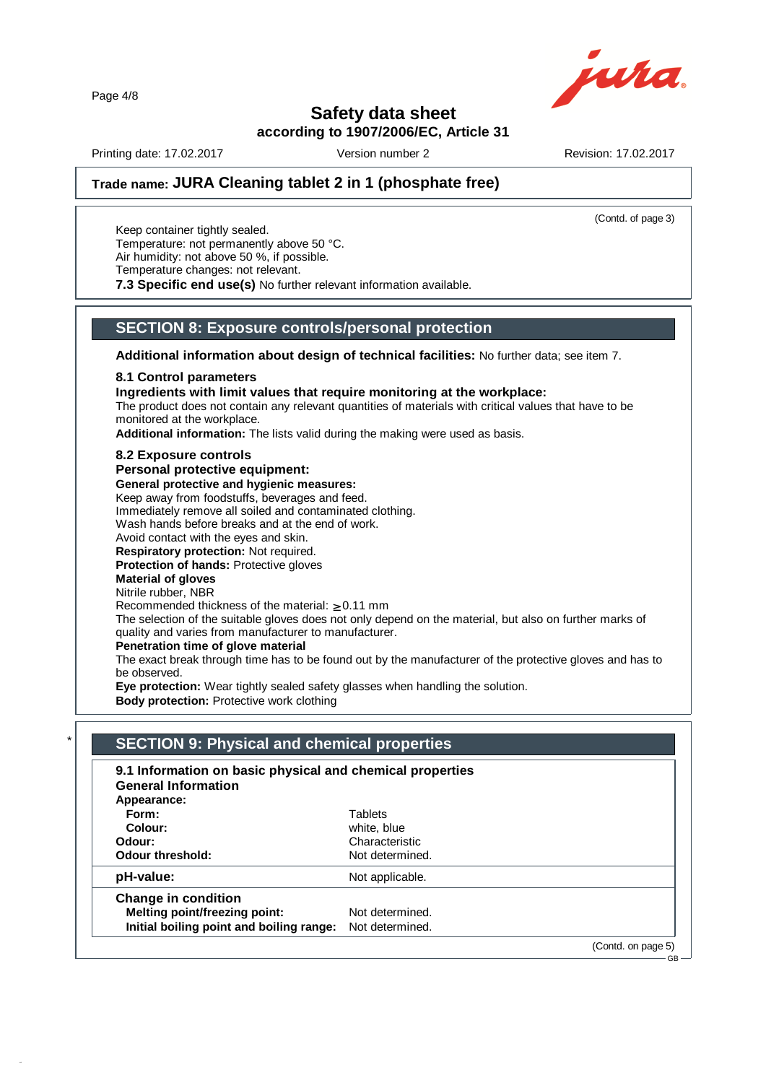Page 4/8



## **Safety data sheet**

**according to 1907/2006/EC, Article 31**

Printing date: 17.02.2017 Version number 2 Revision: 17.02.2017

(Contd. of page 3)

GB

## **Trade name: JURA Cleaning tablet 2 in 1 (phosphate free)**

Keep container tightly sealed. Temperature: not permanently above 50 °C. Air humidity: not above 50 %, if possible. Temperature changes: not relevant.

**7.3 Specific end use(s)** No further relevant information available.

### **SECTION 8: Exposure controls/personal protection**

**Additional information about design of technical facilities:** No further data; see item 7.

#### **8.1 Control parameters**

**Ingredients with limit values that require monitoring at the workplace:**

The product does not contain any relevant quantities of materials with critical values that have to be monitored at the workplace.

**Additional information:** The lists valid during the making were used as basis.

#### **8.2 Exposure controls**

**Personal protective equipment:**

**General protective and hygienic measures:**

Keep away from foodstuffs, beverages and feed.

Immediately remove all soiled and contaminated clothing.

Wash hands before breaks and at the end of work.

Avoid contact with the eyes and skin.

**Respiratory protection:** Not required. **Protection of hands:** Protective gloves

## **Material of gloves**

Nitrile rubber, NBR

44.0

Recommended thickness of the material:  $\geq 0.11$  mm

The selection of the suitable gloves does not only depend on the material, but also on further marks of quality and varies from manufacturer to manufacturer.

#### **Penetration time of glove material**

The exact break through time has to be found out by the manufacturer of the protective gloves and has to be observed.

**Eye protection:** Wear tightly sealed safety glasses when handling the solution.

**Body protection:** Protective work clothing

| 9.1 Information on basic physical and chemical properties<br><b>General Information</b> |                 |  |
|-----------------------------------------------------------------------------------------|-----------------|--|
| Appearance:                                                                             |                 |  |
| Form:                                                                                   | Tablets         |  |
| Colour:                                                                                 | white, blue     |  |
| Odour:                                                                                  | Characteristic  |  |
| <b>Odour threshold:</b>                                                                 | Not determined. |  |
| pH-value:                                                                               | Not applicable. |  |
| <b>Change in condition</b>                                                              |                 |  |
| <b>Melting point/freezing point:</b>                                                    | Not determined. |  |
| Initial boiling point and boiling range:                                                | Not determined. |  |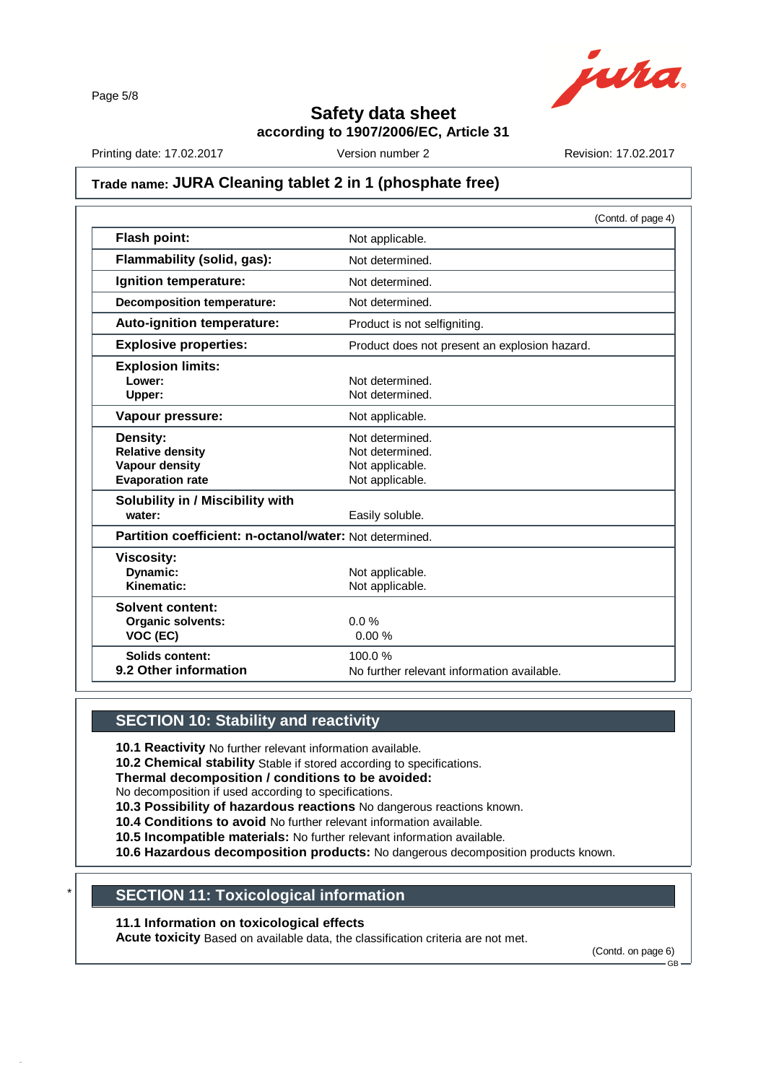Page 5/8



**Safety data sheet**

**according to 1907/2006/EC, Article 31**

Printing date: 17.02.2017 Version number 2 Revision: 17.02.2017

## **Trade name: JURA Cleaning tablet 2 in 1 (phosphate free)**

|                                                         | (Contd. of page 4)                            |
|---------------------------------------------------------|-----------------------------------------------|
| <b>Flash point:</b>                                     | Not applicable.                               |
| Flammability (solid, gas):                              | Not determined.                               |
| Ignition temperature:                                   | Not determined.                               |
| <b>Decomposition temperature:</b>                       | Not determined.                               |
| Auto-ignition temperature:                              | Product is not selfigniting.                  |
| <b>Explosive properties:</b>                            | Product does not present an explosion hazard. |
| <b>Explosion limits:</b>                                |                                               |
| Lower:                                                  | Not determined.                               |
| Upper:                                                  | Not determined.                               |
| Vapour pressure:                                        | Not applicable.                               |
| Density:                                                | Not determined.                               |
| <b>Relative density</b>                                 | Not determined.                               |
| <b>Vapour density</b>                                   | Not applicable.                               |
| <b>Evaporation rate</b>                                 | Not applicable.                               |
| Solubility in / Miscibility with                        |                                               |
| water:                                                  | Easily soluble.                               |
| Partition coefficient: n-octanol/water: Not determined. |                                               |
| <b>Viscosity:</b>                                       |                                               |
| Dynamic:                                                | Not applicable.                               |
| Kinematic:                                              | Not applicable.                               |
| Solvent content:                                        |                                               |
| Organic solvents:                                       | 0.0%                                          |
| VOC (EC)                                                | 0.00%                                         |
| <b>Solids content:</b>                                  | 100.0%                                        |
| 9.2 Other information                                   | No further relevant information available.    |

### **SECTION 10: Stability and reactivity**

**10.1 Reactivity** No further relevant information available.

**10.2 Chemical stability** Stable if stored according to specifications.

**Thermal decomposition / conditions to be avoided:**

No decomposition if used according to specifications.

**10.3 Possibility of hazardous reactions** No dangerous reactions known.

**10.4 Conditions to avoid** No further relevant information available.

**10.5 Incompatible materials:** No further relevant information available.

**10.6 Hazardous decomposition products:** No dangerous decomposition products known.

## \* **SECTION 11: Toxicological information**

**11.1 Information on toxicological effects**

44.0

**Acute toxicity** Based on available data, the classification criteria are not met.

(Contd. on page 6) GB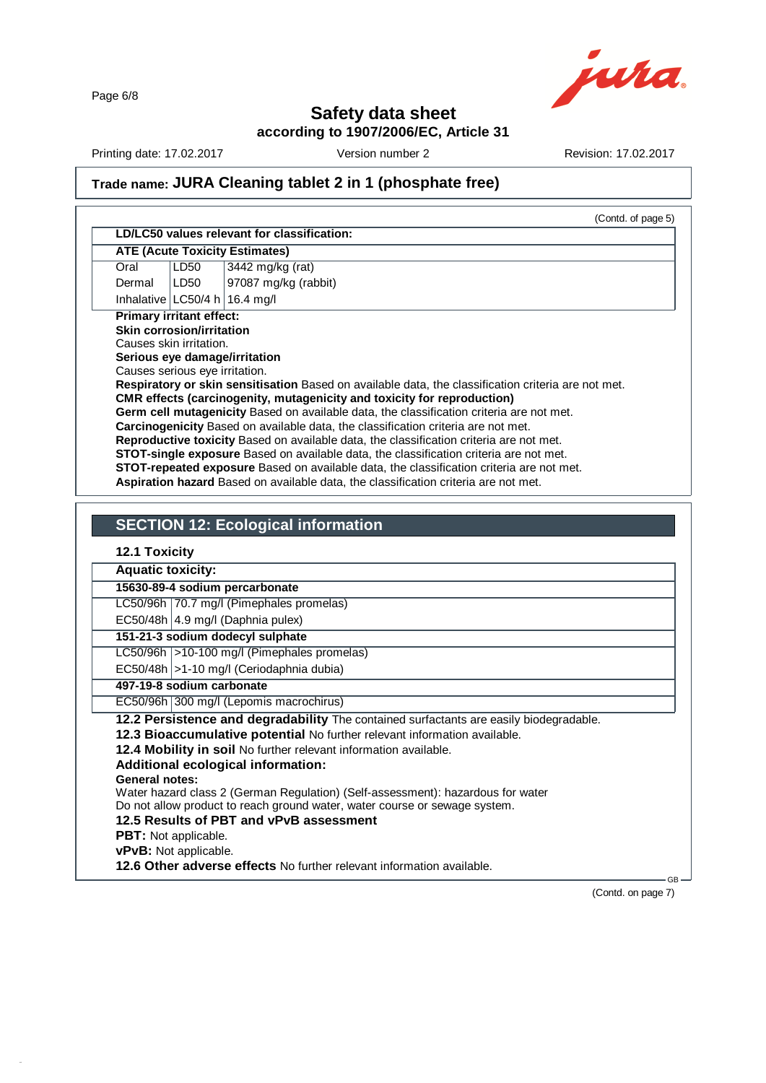Page 6/8



## **Safety data sheet**

**according to 1907/2006/EC, Article 31**

Printing date: 17.02.2017 Version number 2 Revision: 17.02.2017

## **Trade name: JURA Cleaning tablet 2 in 1 (phosphate free)**

|                                                  |                                  | <b>ATE (Acute Toxicity Estimates)</b>                                                                                                                                             |
|--------------------------------------------------|----------------------------------|-----------------------------------------------------------------------------------------------------------------------------------------------------------------------------------|
| Oral                                             | LD50                             | 3442 mg/kg (rat)                                                                                                                                                                  |
| Dermal                                           | LD50                             | 97087 mg/kg (rabbit)                                                                                                                                                              |
|                                                  |                                  | Inhalative $LC50/4 h$ 16.4 mg/l                                                                                                                                                   |
|                                                  | <b>Primary irritant effect:</b>  |                                                                                                                                                                                   |
|                                                  | <b>Skin corrosion/irritation</b> |                                                                                                                                                                                   |
|                                                  | Causes skin irritation.          |                                                                                                                                                                                   |
|                                                  | Causes serious eye irritation.   | Serious eye damage/irritation                                                                                                                                                     |
|                                                  |                                  | Respiratory or skin sensitisation Based on available data, the classification criteria are not met.                                                                               |
|                                                  |                                  | CMR effects (carcinogenity, mutagenicity and toxicity for reproduction)                                                                                                           |
|                                                  |                                  | Germ cell mutagenicity Based on available data, the classification criteria are not met.                                                                                          |
|                                                  |                                  |                                                                                                                                                                                   |
|                                                  |                                  |                                                                                                                                                                                   |
|                                                  |                                  | Carcinogenicity Based on available data, the classification criteria are not met.                                                                                                 |
|                                                  |                                  | Reproductive toxicity Based on available data, the classification criteria are not met.<br>STOT-single exposure Based on available data, the classification criteria are not met. |
|                                                  |                                  | STOT-repeated exposure Based on available data, the classification criteria are not met.                                                                                          |
|                                                  |                                  | Aspiration hazard Based on available data, the classification criteria are not met.                                                                                               |
|                                                  |                                  |                                                                                                                                                                                   |
|                                                  |                                  |                                                                                                                                                                                   |
|                                                  |                                  | <b>SECTION 12: Ecological information</b>                                                                                                                                         |
|                                                  |                                  |                                                                                                                                                                                   |
| <b>12.1 Toxicity</b><br><b>Aquatic toxicity:</b> |                                  |                                                                                                                                                                                   |
|                                                  |                                  | 15630-89-4 sodium percarbonate                                                                                                                                                    |
|                                                  |                                  | LC50/96h 70.7 mg/l (Pimephales promelas)                                                                                                                                          |
|                                                  |                                  | EC50/48h   4.9 mg/l (Daphnia pulex)                                                                                                                                               |
|                                                  |                                  | 151-21-3 sodium dodecyl sulphate                                                                                                                                                  |
|                                                  |                                  | LC50/96h   > 10-100 mg/l (Pimephales promelas)                                                                                                                                    |

**497-19-8 sodium carbonate**

EC50/96h 300 mg/l (Lepomis macrochirus)

**12.2 Persistence and degradability** The contained surfactants are easily biodegradable.

**12.3 Bioaccumulative potential** No further relevant information available.

**12.4 Mobility in soil** No further relevant information available.

**Additional ecological information:**

**General notes:**

44.0

Water hazard class 2 (German Regulation) (Self-assessment): hazardous for water

Do not allow product to reach ground water, water course or sewage system.

**12.5 Results of PBT and vPvB assessment**

**PBT:** Not applicable.

**vPvB:** Not applicable.

**12.6 Other adverse effects** No further relevant information available.

(Contd. on page 7)

 $GB \rightarrow$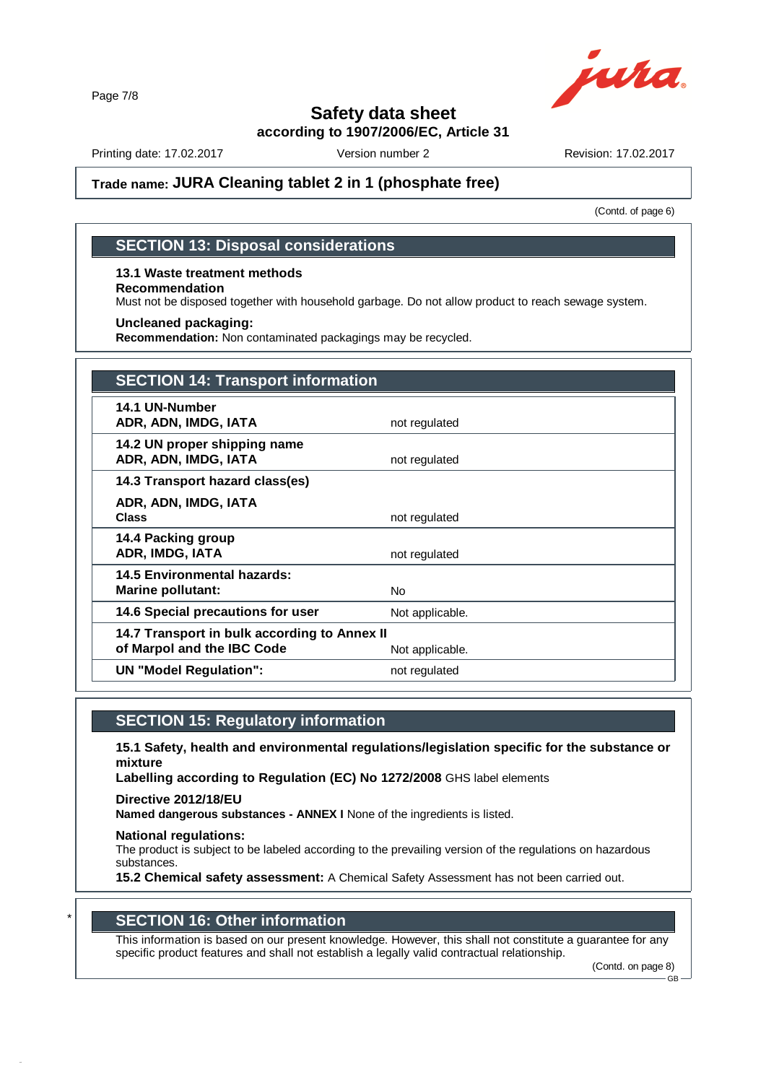Page 7/8



## **Safety data sheet**

**according to 1907/2006/EC, Article 31**

Printing date: 17.02.2017 Version number 2 Revision: 17.02.2017

## **Trade name: JURA Cleaning tablet 2 in 1 (phosphate free)**

(Contd. of page 6)

### **SECTION 13: Disposal considerations**

#### **13.1 Waste treatment methods Recommendation**

Must not be disposed together with household garbage. Do not allow product to reach sewage system.

#### **Uncleaned packaging:**

**Recommendation:** Non contaminated packagings may be recycled.

| <b>SECTION 14: Transport information</b>                                                      |                 |  |
|-----------------------------------------------------------------------------------------------|-----------------|--|
| 14.1 UN-Number<br>ADR, ADN, IMDG, IATA                                                        | not regulated   |  |
| 14.2 UN proper shipping name<br>ADR, ADN, IMDG, IATA                                          | not regulated   |  |
| 14.3 Transport hazard class(es)                                                               |                 |  |
| ADR, ADN, IMDG, IATA<br><b>Class</b>                                                          | not regulated   |  |
| 14.4 Packing group<br>ADR, IMDG, IATA                                                         | not regulated   |  |
| <b>14.5 Environmental hazards:</b><br><b>Marine pollutant:</b>                                | No.             |  |
| 14.6 Special precautions for user                                                             | Not applicable. |  |
| 14.7 Transport in bulk according to Annex II<br>of Marpol and the IBC Code<br>Not applicable. |                 |  |
| <b>UN "Model Regulation":</b>                                                                 | not regulated   |  |

### **SECTION 15: Regulatory information**

**15.1 Safety, health and environmental regulations/legislation specific for the substance or mixture**

**Labelling according to Regulation (EC) No 1272/2008** GHS label elements

**Directive 2012/18/EU**

**Named dangerous substances - ANNEX I** None of the ingredients is listed.

#### **National regulations:**

44.0

The product is subject to be labeled according to the prevailing version of the regulations on hazardous substances.

**15.2 Chemical safety assessment:** A Chemical Safety Assessment has not been carried out.

### \* **SECTION 16: Other information**

This information is based on our present knowledge. However, this shall not constitute a guarantee for any specific product features and shall not establish a legally valid contractual relationship.

(Contd. on page 8) GB